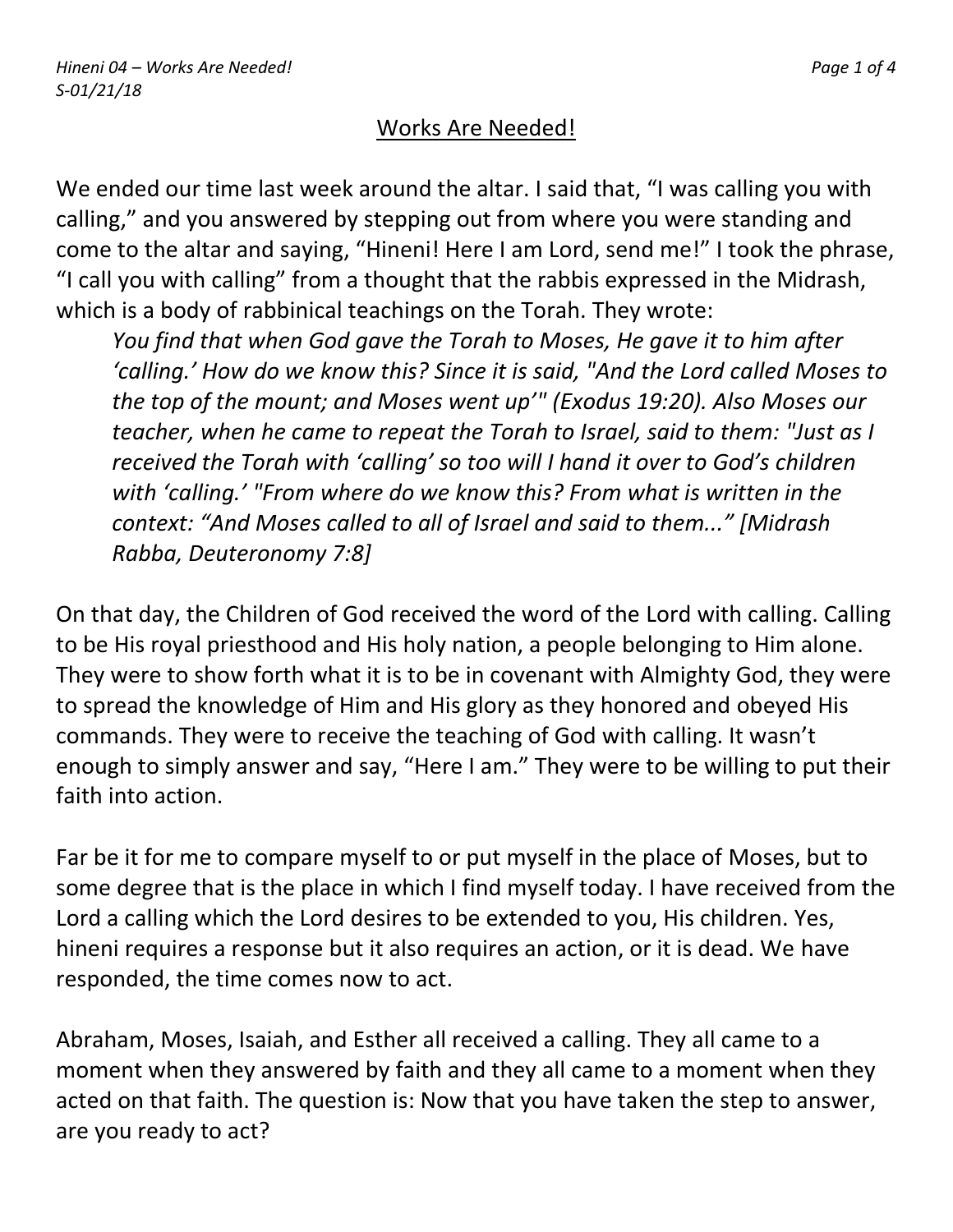## Works Are Needed!

We ended our time last week around the altar. I said that, "I was calling you with calling," and you answered by stepping out from where you were standing and come to the altar and saying, "Hineni! Here I am Lord, send me!" I took the phrase, "I call you with calling" from a thought that the rabbis expressed in the Midrash, which is a body of rabbinical teachings on the Torah. They wrote:

*You find that when God gave the Torah to Moses, He gave it to him after 'calling.' How do we know this? Since it is said, "And the Lord called Moses to the top of the mount; and Moses went up'" (Exodus 19:20). Also Moses our teacher, when he came to repeat the Torah to Israel, said to them: "Just as I received the Torah with 'calling' so too will I hand it over to God's children with 'calling.' "From where do we know this? From what is written in the context: "And Moses called to all of Israel and said to them..." [Midrash Rabba, Deuteronomy 7:8]*

On that day, the Children of God received the word of the Lord with calling. Calling to be His royal priesthood and His holy nation, a people belonging to Him alone. They were to show forth what it is to be in covenant with Almighty God, they were to spread the knowledge of Him and His glory as they honored and obeyed His commands. They were to receive the teaching of God with calling. It wasn't enough to simply answer and say, "Here I am." They were to be willing to put their faith into action.

Far be it for me to compare myself to or put myself in the place of Moses, but to some degree that is the place in which I find myself today. I have received from the Lord a calling which the Lord desires to be extended to you, His children. Yes, hineni requires a response but it also requires an action, or it is dead. We have responded, the time comes now to act.

Abraham, Moses, Isaiah, and Esther all received a calling. They all came to a moment when they answered by faith and they all came to a moment when they acted on that faith. The question is: Now that you have taken the step to answer, are you ready to act?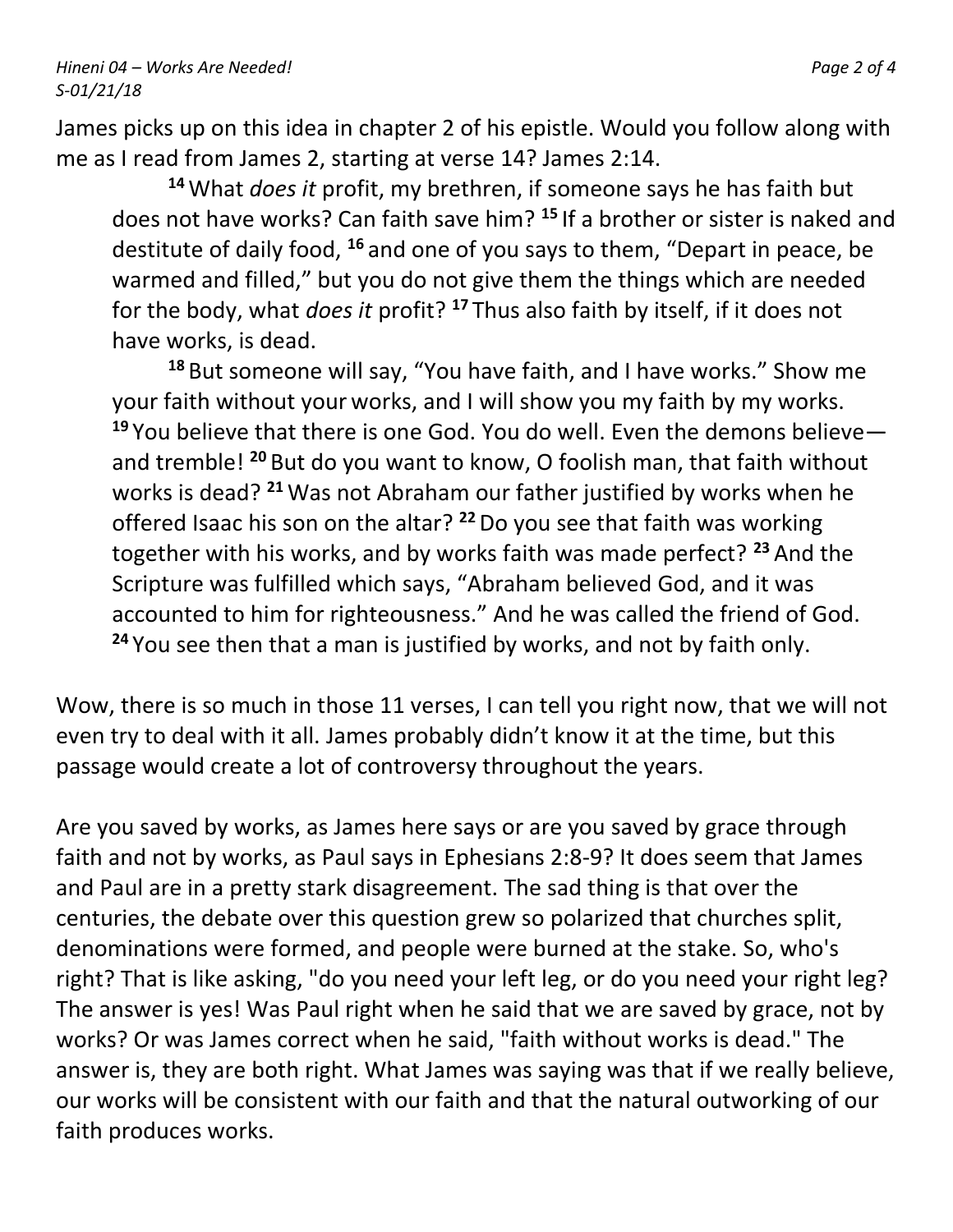James picks up on this idea in chapter 2 of his epistle. Would you follow along with me as I read from James 2, starting at verse 14? James 2:14.

**<sup>14</sup>**What *does it* profit, my brethren, if someone says he has faith but does not have works? Can faith save him? **<sup>15</sup>** If a brother or sister is naked and destitute of daily food, **<sup>16</sup>** and one of you says to them, "Depart in peace, be warmed and filled," but you do not give them the things which are needed for the body, what *does it* profit? **<sup>17</sup>** Thus also faith by itself, if it does not have works, is dead.

**<sup>18</sup>** But someone will say, "You have faith, and I have works." Show me your faith without your works, and I will show you my faith by my works. **<sup>19</sup>** You believe that there is one God. You do well. Even the demons believe and tremble! **<sup>20</sup>** But do you want to know, O foolish man, that faith without works is dead? **<sup>21</sup>** Was not Abraham our father justified by works when he offered Isaac his son on the altar? **<sup>22</sup>**Do you see that faith was working together with his works, and by works faith was made perfect? **<sup>23</sup>** And the Scripture was fulfilled which says, "Abraham believed God, and it was accounted to him for righteousness." And he was called the friend of God. **<sup>24</sup>** You see then that a man is justified by works, and not by faith only.

Wow, there is so much in those 11 verses, I can tell you right now, that we will not even try to deal with it all. James probably didn't know it at the time, but this passage would create a lot of controversy throughout the years.

Are you saved by works, as James here says or are you saved by grace through faith and not by works, as Paul says in Ephesians 2:8-9? It does seem that James and Paul are in a pretty stark disagreement. The sad thing is that over the centuries, the debate over this question grew so polarized that churches split, denominations were formed, and people were burned at the stake. So, who's right? That is like asking, "do you need your left leg, or do you need your right leg? The answer is yes! Was Paul right when he said that we are saved by grace, not by works? Or was James correct when he said, "faith without works is dead." The answer is, they are both right. What James was saying was that if we really believe, our works will be consistent with our faith and that the natural outworking of our faith produces works.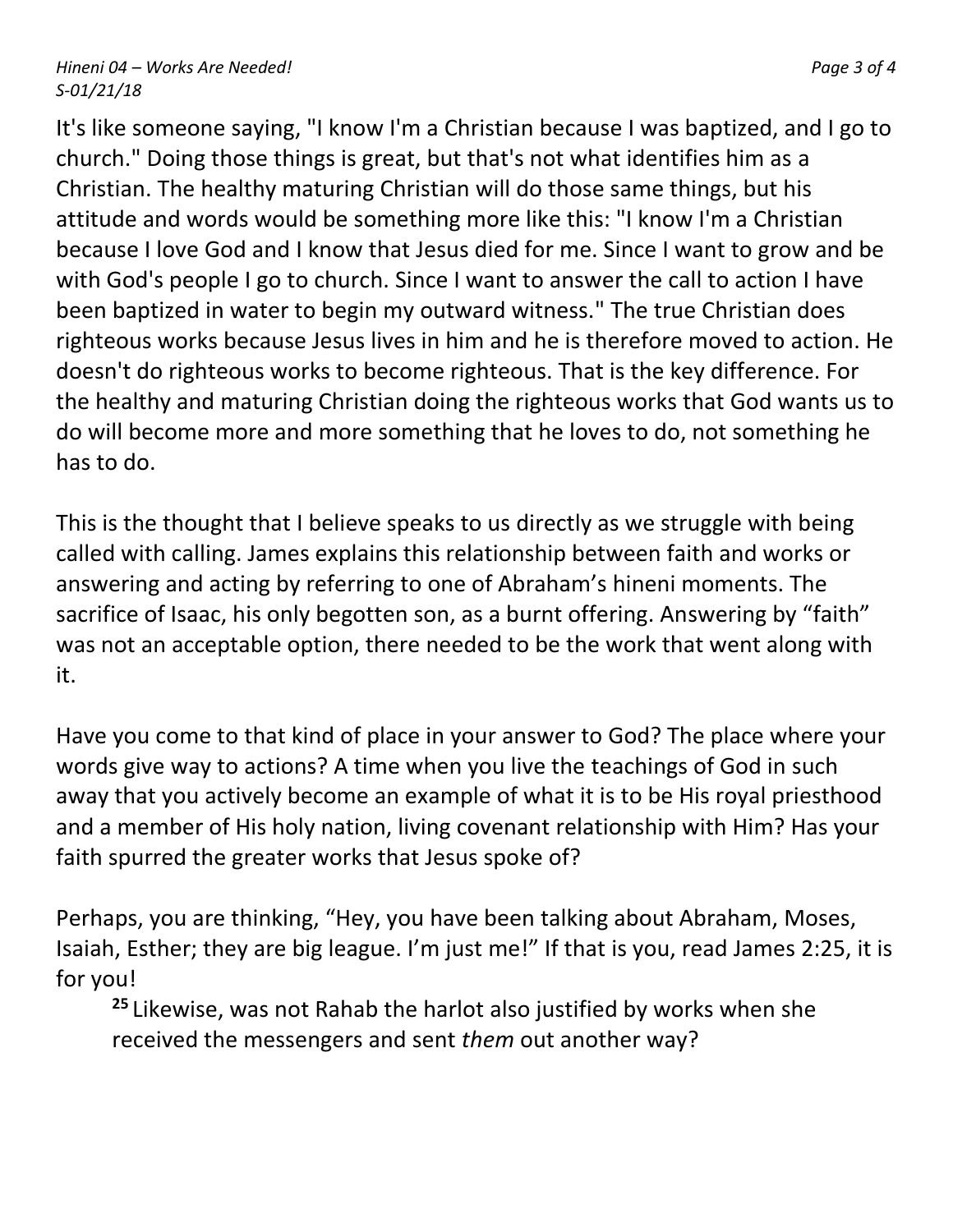It's like someone saying, "I know I'm a Christian because I was baptized, and I go to church." Doing those things is great, but that's not what identifies him as a Christian. The healthy maturing Christian will do those same things, but his attitude and words would be something more like this: "I know I'm a Christian because I love God and I know that Jesus died for me. Since I want to grow and be with God's people I go to church. Since I want to answer the call to action I have been baptized in water to begin my outward witness." The true Christian does righteous works because Jesus lives in him and he is therefore moved to action. He doesn't do righteous works to become righteous. That is the key difference. For the healthy and maturing Christian doing the righteous works that God wants us to do will become more and more something that he loves to do, not something he has to do.

This is the thought that I believe speaks to us directly as we struggle with being called with calling. James explains this relationship between faith and works or answering and acting by referring to one of Abraham's hineni moments. The sacrifice of Isaac, his only begotten son, as a burnt offering. Answering by "faith" was not an acceptable option, there needed to be the work that went along with it.

Have you come to that kind of place in your answer to God? The place where your words give way to actions? A time when you live the teachings of God in such away that you actively become an example of what it is to be His royal priesthood and a member of His holy nation, living covenant relationship with Him? Has your faith spurred the greater works that Jesus spoke of?

Perhaps, you are thinking, "Hey, you have been talking about Abraham, Moses, Isaiah, Esther; they are big league. I'm just me!" If that is you, read James 2:25, it is for you!

**<sup>25</sup>** Likewise, was not Rahab the harlot also justified by works when she received the messengers and sent *them* out another way?